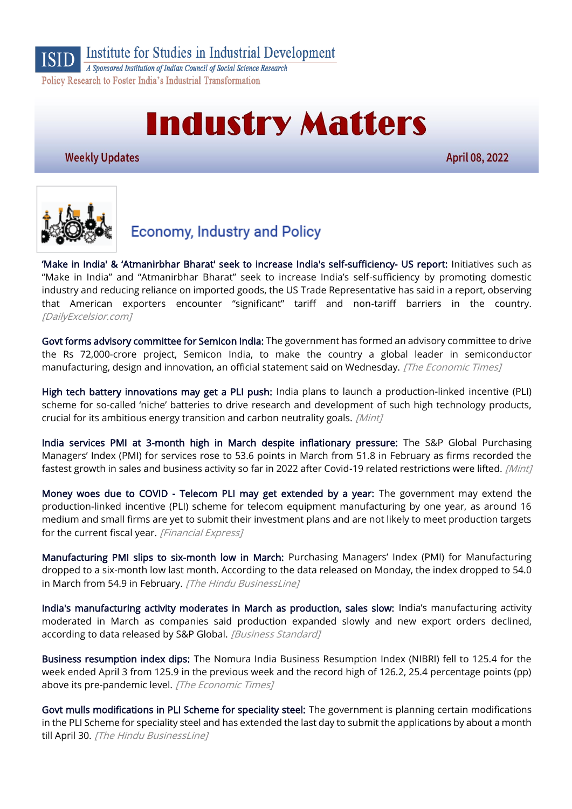

Institute for Studies in Industrial Development

A Sponsored Institution of Indian Council of Social Science Research Policy Research to Foster India's Industrial Transformation

# **Industry Matters**

**Weekly Updates** 

April 08, 2022



# **Economy, Industry and Policy**

['Make in India' & 'Atmanirbhar Bharat' seek to increase India's self](https://www.dailyexcelsior.com/make-in-india-atmanirbhar-bharat-seek-to-increase-indias-self-sufficiency-us-report/)-sufficiency- US report: Initiatives such as "Make in India" and "Atmanirbhar Bharat" seek to increase India's self-sufficiency by promoting domestic industry and reducing reliance on imported goods, the US Trade Representative has said in a report, observing that American exporters encounter "significant" tariff and non-tariff barriers in the country. [DailyExcelsior.com]

[Govt forms advisory committee for Semicon India:](https://economictimes.indiatimes.com/news/economy/policy/govt-forms-advisory-committee-for-semicon-india/articleshow/90688576.cms) The government has formed an advisory committee to drive the Rs 72,000-crore project, Semicon India, to make the country a global leader in semiconductor manufacturing, design and innovation, an official statement said on Wednesday. [The Economic Times]

[High tech battery innovations may get a PLI push:](https://www.livemint.com/industry/manufacturing/production-incentives-to-fuel-battery-innovations-on-cards-11649185815999.html) India plans to launch a production-linked incentive (PLI) scheme for so-called 'niche' batteries to drive research and development of such high technology products, crucial for its ambitious energy transition and carbon neutrality goals. [Mint]

[India services PMI at 3-month high in March despite inflationary pressure:](https://www.livemint.com/economy/india-services-pmi-at-3-month-high-in-march-despite-inflationary-pressure-11649227371808.html) The S&P Global Purchasing Managers' Index (PMI) for services rose to 53.6 points in March from 51.8 in February as firms recorded the fastest growth in sales and business activity so far in 2022 after Covid-19 related restrictions were lifted. [Mint]

[Money woes due to COVID - Telecom PLI may get extended by a year:](https://www.financialexpress.com/industry/money-woes-due-to-covid-telecom-pli-may-get-extended-by-a-year/2479694/) The government may extend the production-linked incentive (PLI) scheme for telecom equipment manufacturing by one year, as around 16 medium and small firms are yet to submit their investment plans and are not likely to meet production targets for the current fiscal year. [Financial Express]

[Manufacturing PMI slips to six-month low in March:](https://www.thehindubusinessline.com/economy/manufacturing-pmi-slips-to-six-month-low-in-march/article65288983.ece) Purchasing Managers' Index (PMI) for Manufacturing dropped to a six-month low last month. According to the data released on Monday, the index dropped to 54.0 in March from 54.9 in February. [The Hindu BusinessLine]

[India's manufacturing activity moderates in March as production, sales slow:](https://www.business-standard.com/article/economy-policy/india-s-manufacturing-activity-moderates-in-march-as-production-sales-slow-122040400557_1.html) India's manufacturing activity moderated in March as companies said production expanded slowly and new export orders declined, according to data released by S&P Global. [Business Standard]

[Business resumption index dips:](https://economictimes.indiatimes.com/news/economy/indicators/business-resumption-index-dips/articleshow/90650100.cms) The Nomura India Business Resumption Index (NIBRI) fell to 125.4 for the week ended April 3 from 125.9 in the previous week and the record high of 126.2, 25.4 percentage points (pp) above its pre-pandemic level. [The Economic Times]

[Govt mulls modifications in PLI Scheme for speciality steel:](https://www.thehindubusinessline.com/news/govt-mulls-modifications-in-pli-scheme-for-speciality-steel-extends-last-date-for-application-till-apr-30/article65286549.ece) The government is planning certain modifications in the PLI Scheme for speciality steel and has extended the last day to submit the applications by about a month till April 30. [The Hindu BusinessLine]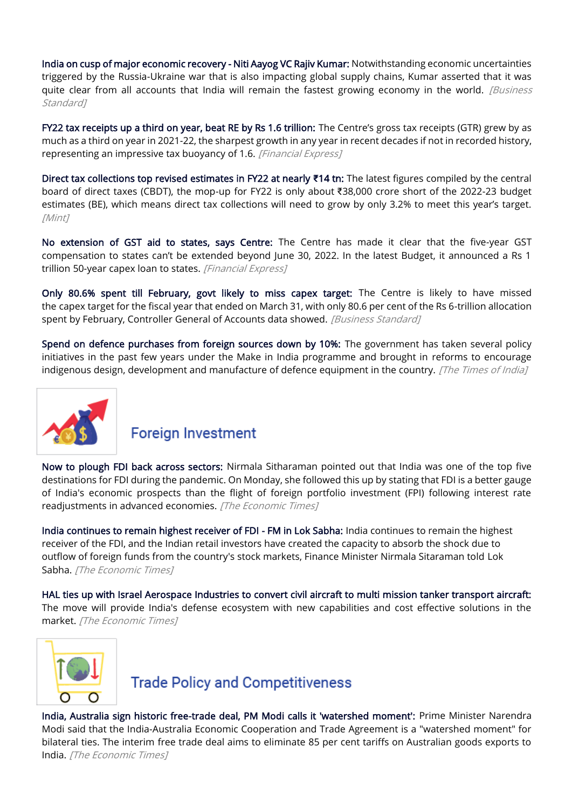[India on cusp of major economic recovery - Niti Aayog VC Rajiv Kumar:](https://www.business-standard.com/article/economy-policy/india-on-cusp-of-major-economic-recovery-niti-aayog-vc-rajiv-kumar-122040300235_1.html) Notwithstanding economic uncertainties triggered by the Russia-Ukraine war that is also impacting global supply chains, Kumar asserted that it was quite clear from all accounts that India will remain the fastest growing economy in the world. *[Business* Standard<sub>1</sub>

[FY22 tax receipts up a third on year, beat RE by Rs 1.6 trillion:](https://www.financialexpress.com/economy/fy22-tax-receipts-up-a-third-on-year-beat-re-by-rs-1-6-trillion/2483997/) The Centre's gross tax receipts (GTR) grew by as much as a third on year in 2021-22, the sharpest growth in any year in recent decades if not in recorded history, representing an impressive tax buoyancy of 1.6. [Financial Express]

[Direct tax collections top revised estimates in FY22 at nearly](https://www.livemint.com/economy/direct-tax-collections-top-revised-estimates-in-fy22-at-nearly-14-tn-11649184306549.html) **₹**14 tn: The latest figures compiled by the central board of direct taxes (CBDT), the mop-up for FY22 is only about ₹38,000 crore short of the 2022-23 budget estimates (BE), which means direct tax collections will need to grow by only 3.2% to meet this year's target. [Mint]

[No extension of GST aid to states, says Centre:](https://www.financialexpress.com/economy/no-extension-of-gst-aid-to-states-says-centre/2481731/) The Centre has made it clear that the five-year GST compensation to states can't be extended beyond June 30, 2022. In the latest Budget, it announced a Rs 1 trillion 50-year capex loan to states. [Financial Express]

[Only 80.6% spent till February, govt likely to miss capex target:](https://www.business-standard.com/article/economy-policy/only-80-6-spent-till-february-govt-likely-to-miss-capex-target-122040200060_1.html) The Centre is likely to have missed the capex target for the fiscal year that ended on March 31, with only 80.6 per cent of the Rs 6-trillion allocation spent by February, Controller General of Accounts data showed. [Business Standard]

[Spend on defence purchases from foreign sources down by 10%:](https://timesofindia.indiatimes.com/india/spend-on-defence-purchases-from-foreign-sources-down-by-10/articleshow/90602278.cms) The government has taken several policy initiatives in the past few years under the Make in India programme and brought in reforms to encourage indigenous design, development and manufacture of defence equipment in the country. [The Times of India]



#### **Foreign Investment**

[Now to plough FDI back across sectors:](https://economictimes.indiatimes.com/opinion/et-editorial/now-to-plough-fdi-back-across-sectors/articleshow/90671421.cms) Nirmala Sitharaman pointed out that India was one of the top five destinations for FDI during the pandemic. On Monday, she followed this up by stating that FDI is a better gauge of India's economic prospects than the flight of foreign portfolio investment (FPI) following interest rate readjustments in advanced economies. [The Economic Times]

[India continues to remain highest receiver of FDI - FM in Lok Sabha:](https://economictimes.indiatimes.com/news/economy/indicators/india-continues-to-remain-highest-receiver-of-fdi-fm-in-lok-sabha/articleshow/90638876.cms) India continues to remain the highest receiver of the FDI, and the Indian retail investors have created the capacity to absorb the shock due to outflow of foreign funds from the country's stock markets, Finance Minister Nirmala Sitaraman told Lok Sabha. [The Economic Times]

[HAL ties up with Israel Aerospace Industries to convert civil aircraft to multi mission tanker transport aircraft:](https://economictimes.indiatimes.com/news/defence/hal-ties-up-with-israel-aerospace-industries-to-convert-civil-aircraft-to-multi-mission-tanker-transport-aircraft/articleshow/90685263.cms) The move will provide India's defense ecosystem with new capabilities and cost effective solutions in the market. [The Economic Times]



## **Trade Policy and Competitiveness**

[India, Australia sign historic free-trade deal, PM Modi calls it 'watershed moment':](https://economictimes.indiatimes.com/news/economy/foreign-trade/india-australia-sign-historic-free-trade-deal-pm-modi-calls-it-watershed-moment/videoshow/90606331.cms) Prime Minister Narendra Modi said that the India-Australia Economic Cooperation and Trade Agreement is a "watershed moment" for bilateral ties. The interim free trade deal aims to eliminate 85 per cent tariffs on Australian goods exports to India. [The Economic Times]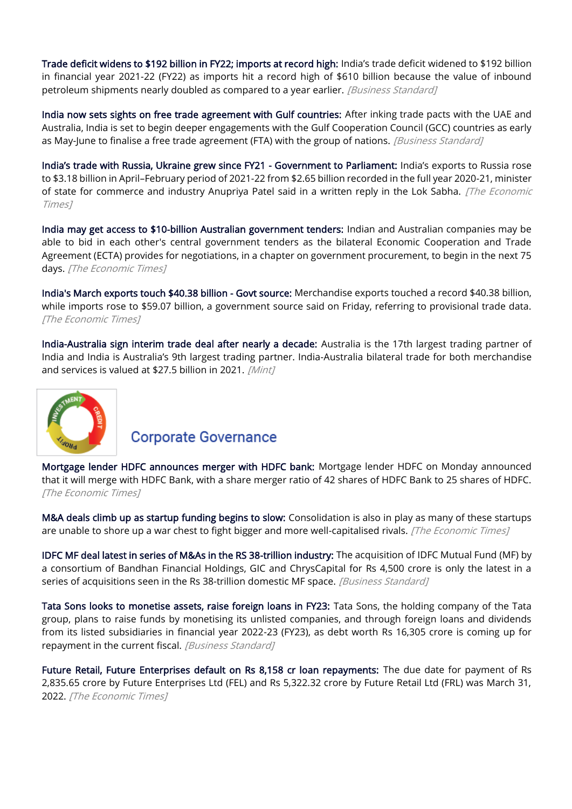[Trade deficit widens to \\$192 billion in FY22; imports at record high:](https://www.business-standard.com/article/economy-policy/trade-deficit-widens-to-192-billion-in-fy22-imports-at-record-high-122040500051_1.html) India's trade deficit widened to \$192 billion in financial year 2021-22 (FY22) as imports hit a record high of \$610 billion because the value of inbound petroleum shipments nearly doubled as compared to a year earlier. [Business Standard]

[India now sets sights on free trade agreement with Gulf countries:](https://www.business-standard.com/article/economy-policy/india-now-sets-sights-on-free-trade-agreement-with-gulf-countries-122040501480_1.html) After inking trade pacts with the UAE and Australia, India is set to begin deeper engagements with the Gulf Cooperation Council (GCC) countries as early as May-June to finalise a free trade agreement (FTA) with the group of nations. *[Business Standard]* 

[India's trade with Russia, Ukraine grew since FY21](https://economictimes.indiatimes.com/news/economy/foreign-trade/indias-trade-with-russia-ukraine-grew-since-fy21-government-to-parliament/articleshow/90692407.cms) - Government to Parliament: India's exports to Russia rose to \$3.18 billion in April–February period of 2021-22 from \$2.65 billion recorded in the full year 2020-21, minister of state for commerce and industry Anupriya Patel said in a written reply in the Lok Sabha. [The Economic Times]

[India may get access to \\$10-billion Australian government tenders:](https://economictimes.indiatimes.com/news/economy/foreign-trade/india-may-get-access-to-10-billion-australian-government-tenders/articleshow/90631268.cms) Indian and Australian companies may be able to bid in each other's central government tenders as the bilateral Economic Cooperation and Trade Agreement (ECTA) provides for negotiations, in a chapter on government procurement, to begin in the next 75 days. [The Economic Times]

[India's March exports touch \\$40.38 billion - Govt source:](https://economictimes.indiatimes.com/news/economy/indicators/indias-march-exports-touch-40-38-billion-govt-source/articleshow/90591450.cms) Merchandise exports touched a record \$40.38 billion, while imports rose to \$59.07 billion, a government source said on Friday, referring to provisional trade data. [The Economic Times]

[India-Australia sign interim trade deal after nearly a decade:](https://www.livemint.com/news/india/indiaaustralia-sign-interim-trade-deal-after-nearly-a-decade-comprehensive-trade-deal-likely-by-yearend-11648905631329.html) Australia is the 17th largest trading partner of India and India is Australia's 9th largest trading partner. India-Australia bilateral trade for both merchandise and services is valued at \$27.5 billion in 2021. [Mint]



#### **Corporate Governance**

[Mortgage lender HDFC announces merger with HDFC bank:](https://economictimes.indiatimes.com/industry/banking/finance/banking/mortgage-lender-hdfc-announces-merger-with-hdfc-bank/articleshow/90633253.cms) Mortgage lender HDFC on Monday announced that it will merge with HDFC Bank, with a share merger ratio of 42 shares of HDFC Bank to 25 shares of HDFC. [The Economic Times]

[M&A deals climb up as startup funding begins to slow:](https://economictimes.indiatimes.com/tech/startups/startup-ma-deals-climb-up-amid-slowdown-in-funding/articleshow/90626951.cms) Consolidation is also in play as many of these startups are unable to shore up a war chest to fight bigger and more well-capitalised rivals. *[The Economic Times]* 

[IDFC MF deal latest in series of M&As in the RS 38-trillion industry:](https://www.business-standard.com/article/companies/idfc-mf-deal-latest-in-series-of-m-as-in-the-rs-38-trillion-industry-122040701053_1.html) The acquisition of IDFC Mutual Fund (MF) by a consortium of Bandhan Financial Holdings, GIC and ChrysCapital for Rs 4,500 crore is only the latest in a series of acquisitions seen in the Rs 38-trillion domestic MF space. [Business Standard]

[Tata Sons looks to monetise assets, raise foreign loans in FY23:](https://www.business-standard.com/article/companies/tata-sons-looks-to-monetise-assets-raise-foreign-loans-in-fy23-122040600047_1.html) Tata Sons, the holding company of the Tata group, plans to raise funds by monetising its unlisted companies, and through foreign loans and dividends from its listed subsidiaries in financial year 2022-23 (FY23), as debt worth Rs 16,305 crore is coming up for repayment in the current fiscal. [Business Standard]

[Future Retail, Future Enterprises default on Rs 8,158 cr loan repayments:](https://economictimes.indiatimes.com/industry/services/retail/future-retail-ltd-defaults-on-repayment-of-rs-5322-crore-debt/articleshow/90595765.cms) The due date for payment of Rs 2,835.65 crore by Future Enterprises Ltd (FEL) and Rs 5,322.32 crore by Future Retail Ltd (FRL) was March 31, 2022. [The Economic Times]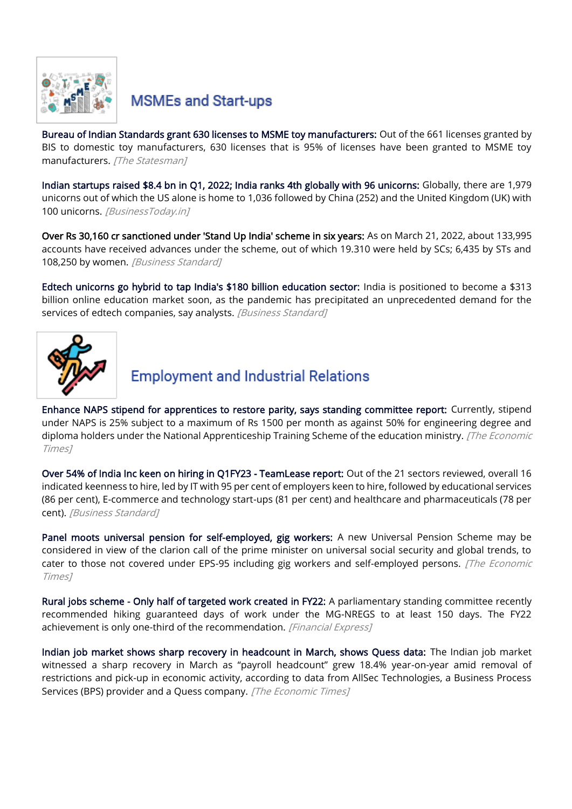

## **MSMEs and Start-ups**

[Bureau of Indian Standards grant 630 licenses to MSME toy manufacturers:](https://www.thestatesman.com/india/bureau-indian-standards-grant-630-licenses-msme-toy-manufacturers-1503057946.html) Out of the 661 licenses granted by BIS to domestic toy manufacturers, 630 licenses that is 95% of licenses have been granted to MSME toy manufacturers. [The Statesman]

[Indian startups raised \\$8.4 bn in Q1, 2022; India ranks 4th globally with 96 unicorns:](https://www.businesstoday.in/entrepreneurship/news/story/indian-startups-raised-84-bn-in-q1-2022-india-ranks-4th-globally-with-96-unicorns-328859-2022-04-06) Globally, there are 1,979 unicorns out of which the US alone is home to 1,036 followed by China (252) and the United Kingdom (UK) with 100 unicorns. [BusinessToday.in]

[Over Rs 30,160 cr sanctioned under 'Stand Up India' scheme in six years:](https://www.business-standard.com/article/economy-policy/over-rs-30-160-cr-sanctioned-under-stand-up-india-scheme-in-six-years-122040500697_1.html) As on March 21, 2022, about 133,995 accounts have received advances under the scheme, out of which 19.310 were held by SCs; 6,435 by STs and 108,250 by women. [Business Standard]

[Edtech unicorns go hybrid to tap India's \\$180 billion education sector:](https://www.business-standard.com/article/companies/edtech-unicorns-go-hybrid-to-tap-india-s-180-billion-education-sector-122040300968_1.html) India is positioned to become a \$313 billion online education market soon, as the pandemic has precipitated an unprecedented demand for the services of edtech companies, say analysts. [Business Standard]



# **Employment and Industrial Relations**

[Enhance NAPS stipend for apprentices to restore parity, says standing committee report:](https://economictimes.indiatimes.com/news/economy/policy/enhance-naps-stipend-for-apprentices-to-restore-parity-says-standing-committee-report/articleshow/90668911.cms) Currently, stipend under NAPS is 25% subject to a maximum of Rs 1500 per month as against 50% for engineering degree and diploma holders under the National Apprenticeship Training Scheme of the education ministry. [The Economic Times]

[Over 54% of India Inc keen on hiring in Q1FY23 - TeamLease report:](https://www.business-standard.com/article/companies/over-54-of-india-inc-keen-on-hiring-in-q1fy23-teamlease-report-122040501027_1.html) Out of the 21 sectors reviewed, overall 16 indicated keenness to hire, led by IT with 95 per cent of employers keen to hire, followed by educational services (86 per cent), E-commerce and technology start-ups (81 per cent) and healthcare and pharmaceuticals (78 per cent). [Business Standard]

[Panel moots universal pension for self-employed, gig workers:](https://economictimes.indiatimes.com/news/economy/finance/panel-moots-universal-pension-for-self-employed-gig-workers/articleshow/90692757.cms) A new Universal Pension Scheme may be considered in view of the clarion call of the prime minister on universal social security and global trends, to cater to those not covered under EPS-95 including gig workers and self-employed persons. [The Economic Times]

[Rural jobs scheme - Only half of targeted work created in FY22:](https://www.financialexpress.com/economy/rural-jobs-scheme-only-half-of-targeted-work-created-in-fy22/2481763/) A parliamentary standing committee recently recommended hiking guaranteed days of work under the MG-NREGS to at least 150 days. The FY22 achievement is only one-third of the recommendation. [Financial Express]

[Indian job market shows sharp recovery in headcount in March, shows Quess data:](https://economictimes.indiatimes.com/jobs/indian-job-market-shows-sharp-recovery-in-headcount-in-march-shows-quess-data/articleshow/90636196.cms) The Indian job market witnessed a sharp recovery in March as "payroll headcount" grew 18.4% year-on-year amid removal of restrictions and pick-up in economic activity, according to data from AllSec Technologies, a Business Process Services (BPS) provider and a Quess company. [The Economic Times]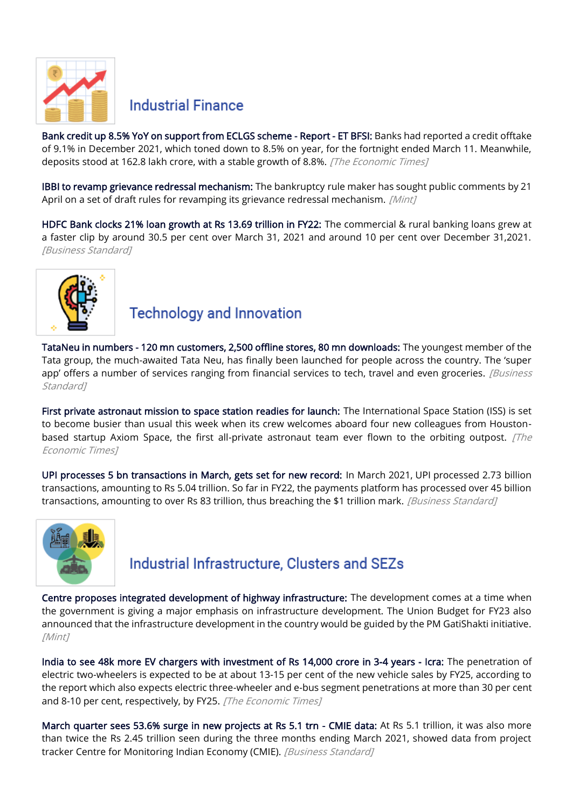

#### **Industrial Finance**

[Bank credit up 8.5% YoY on support from ECLGS scheme - Report - ET BFSI:](https://bfsi.economictimes.indiatimes.com/news/banking/bank-credit-up-8-5-yoy-on-support-from-eclgs-scheme-report/90641015) Banks had reported a credit offtake of 9.1% in December 2021, which toned down to 8.5% on year, for the fortnight ended March 11. Meanwhile, deposits stood at 162.8 lakh crore, with a stable growth of 8.8%. [The Economic Times]

[IBBI to revamp grievance redressal mechanism:](https://www.livemint.com/news/india/ibbi-to-revamp-grievance-redressal-mechanism-11648911462729.html) The bankruptcy rule maker has sought public comments by 21 April on a set of draft rules for revamping its grievance redressal mechanism. [Mint]

[HDFC Bank clocks 21% loan growth at Rs 13.69 trillion in FY22:](https://www.business-standard.com/article/finance/hdfc-bank-clocks-21-loan-growth-at-rs-13-69-trillion-in-fy22-122040300758_1.html) The commercial & rural banking loans grew at a faster clip by around 30.5 per cent over March 31, 2021 and around 10 per cent over December 31,2021. [Business Standard]



## **Technology and Innovation**

[TataNeu in numbers - 120 mn customers, 2,500 offline stores, 80 mn downloads:](https://www.business-standard.com/article/companies/tataneu-in-numbers-120-customers-2-500-offline-stores-80-mn-downloads-122040701107_1.html) The youngest member of the Tata group, the much-awaited Tata Neu, has finally been launched for people across the country. The 'super app' offers a number of services ranging from financial services to tech, travel and even groceries. [Business Standard<sub>1</sub>

[First private astronaut mission to space station readies for launch:](https://economictimes.indiatimes.com/news/science/first-private-astronaut-mission-to-space-station-readies-for-launch/articleshow/90641333.cms) The International Space Station (ISS) is set to become busier than usual this week when its crew welcomes aboard four new colleagues from Houstonbased startup Axiom Space, the first all-private astronaut team ever flown to the orbiting outpost.  $[The$ Economic Times]

[UPI processes 5 bn transactions in March, gets set for new record:](https://www.business-standard.com/article/finance/upi-processes-5-bn-transactions-in-march-gets-set-for-new-record-122033100529_1.html) In March 2021, UPI processed 2.73 billion transactions, amounting to Rs 5.04 trillion. So far in FY22, the payments platform has processed over 45 billion transactions, amounting to over Rs 83 trillion, thus breaching the \$1 trillion mark. *[Business Standard]* 



## Industrial Infrastructure, Clusters and SEZs

[Centre proposes integrated development of highway infrastructure:](https://www.livemint.com/industry/infrastructure/centre-proposes-integrated-development-of-highway-infrastructure-11649096981720.html) The development comes at a time when the government is giving a major emphasis on infrastructure development. The Union Budget for FY23 also announced that the infrastructure development in the country would be guided by the PM GatiShakti initiative. [Mint]

[India to see 48k more EV chargers with investment of Rs 14,000 crore in 3-4 years - Icra:](https://economictimes.indiatimes.com/industry/renewables/india-to-see-48k-more-ev-chargers-with-investment-of-rs-14000-crore-in-3-4-years-icra/articleshow/90685995.cms) The penetration of electric two-wheelers is expected to be at about 13-15 per cent of the new vehicle sales by FY25, according to the report which also expects electric three-wheeler and e-bus segment penetrations at more than 30 per cent and 8-10 per cent, respectively, by FY25. [The Economic Times]

[March quarter sees 53.6% surge in new projects at Rs 5.1 trn - CMIE data:](https://www.business-standard.com/article/economy-policy/march-quarter-sees-53-6-surge-in-new-projects-at-rs-5-1-trn-cmie-data-122040100627_1.html) At Rs 5.1 trillion, it was also more than twice the Rs 2.45 trillion seen during the three months ending March 2021, showed data from project tracker Centre for Monitoring Indian Economy (CMIE). [Business Standard]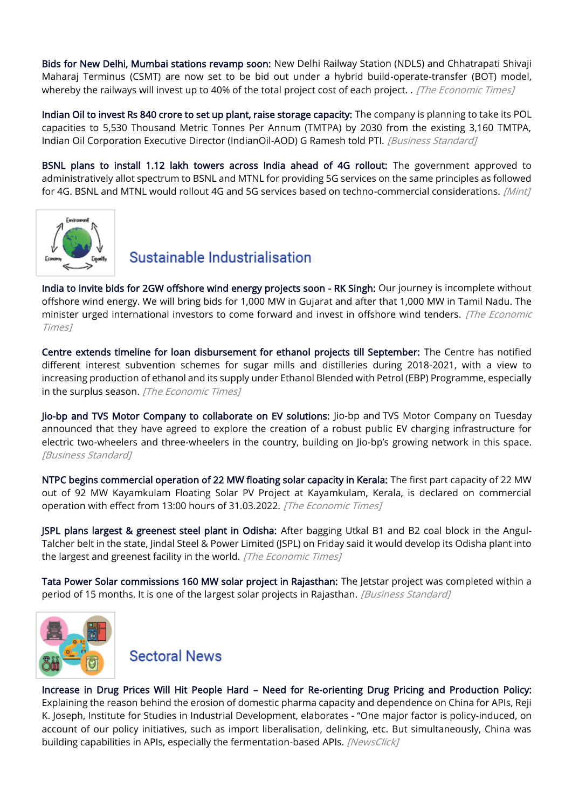[Bids for New Delhi, Mumbai stations revamp soon:](https://economictimes.indiatimes.com/news/economy/infrastructure/bids-for-new-delhi-mumbai-stations-revamp-soon/articleshow/90628924.cms) New Delhi Railway Station (NDLS) and Chhatrapati Shivaji Maharaj Terminus (CSMT) are now set to be bid out under a hybrid build-operate-transfer (BOT) model, whereby the railways will invest up to 40% of the total project cost of each project. . [The Economic Times]

[Indian Oil to invest Rs 840 crore to set up plant, raise storage capacity:](https://www.business-standard.com/article/pti-stories/ioc-to-pump-in-rs-840cr-to-set-up-pol-plant-raise-storage-capacity-in-ne-122040300399_1.html) The company is planning to take its POL capacities to 5,530 Thousand Metric Tonnes Per Annum (TMTPA) by 2030 from the existing 3,160 TMTPA, Indian Oil Corporation Executive Director (IndianOil-AOD) G Ramesh told PTI. [Business Standard]

[BSNL plans to install 1.12 lakh towers across India ahead of 4G rollout:](https://www.livemint.com/companies/news/bsnl-plans-to-install-1-12-lakh-towers-across-india-ahead-of-4g-rollout-11649239318720.html) The government approved to administratively allot spectrum to BSNL and MTNL for providing 5G services on the same principles as followed for 4G. BSNL and MTNL would rollout 4G and 5G services based on techno-commercial considerations. [Mint]



## Sustainable Industrialisation

[India to invite bids for 2GW offshore wind energy projects soon - RK Singh:](https://economictimes.indiatimes.com/industry/renewables/india-to-invite-bids-for-2gw-offshore-wind-energy-projects-soon-rk-singh/articleshow/90705430.cms) Our journey is incomplete without offshore wind energy. We will bring bids for 1,000 MW in Gujarat and after that 1,000 MW in Tamil Nadu. The minister urged international investors to come forward and invest in offshore wind tenders. [The Economic Times]

[Centre extends timeline for loan disbursement for ethanol projects till September:](https://economictimes.indiatimes.com/news/economy/policy/centre-extends-timeline-for-loan-disbursement-for-ethanol-projects-till-september/articleshow/90668648.cms) The Centre has notified different interest subvention schemes for sugar mills and distilleries during 2018-2021, with a view to increasing production of ethanol and its supply under Ethanol Blended with Petrol (EBP) Programme, especially in the surplus season. [The Economic Times]

[Jio-bp and TVS Motor Company to collaborate on EV solutions:](https://www.business-standard.com/article/companies/jio-bp-and-tvs-motor-company-to-collaborate-on-ev-solutions-122040500951_1.html) Jio-bp and TVS Motor Company on Tuesday announced that they have agreed to explore the creation of a robust public EV charging infrastructure for electric two-wheelers and three-wheelers in the country, building on Jio-bp's growing network in this space. [Business Standard]

[NTPC begins commercial operation of 22 MW floating solar capacity in Kerala:](https://economictimes.indiatimes.com/industry/renewables/ntpc-begins-commercial-operation-of-22-mw-floating-solar-capacity-in-kerala/articleshow/90588359.cms) The first part capacity of 22 MW out of 92 MW Kayamkulam Floating Solar PV Project at Kayamkulam, Kerala, is declared on commercial operation with effect from 13:00 hours of 31.03.2022. [The Economic Times]

[JSPL plans largest & greenest steel plant in Odisha:](https://economictimes.indiatimes.com/industry/indl-goods/svs/steel/jspl-plans-largest-greenest-steel-plant-in-odisha/articleshow/90593003.cms) After bagging Utkal B1 and B2 coal block in the Angul-Talcher belt in the state, Jindal Steel & Power Limited (JSPL) on Friday said it would develop its Odisha plant into the largest and greenest facility in the world. [The Economic Times]

[Tata Power Solar commissions 160 MW solar project in Rajasthan:](https://www.business-standard.com/article/companies/tata-power-solar-commissions-160-mw-solar-project-in-rajasthan-122040500436_1.html) The Jetstar project was completed within a period of 15 months. It is one of the largest solar projects in Rajasthan. [Business Standard]



#### **Sectoral News**

Increase in Drug Prices Will Hit People Hard – [Need for Re-orienting Drug Pricing and Production Policy:](https://www.newsclick.in/Increase-Drug-Prices-Will-Hit-People-Hard-Need-Re-orienting-Drug-Pricing-Production-Policy) Explaining the reason behind the erosion of domestic pharma capacity and dependence on China for APIs, Reji K. Joseph, Institute for Studies in Industrial Development, elaborates - "One major factor is policy-induced, on account of our policy initiatives, such as import liberalisation, delinking, etc. But simultaneously, China was building capabilities in APIs, especially the fermentation-based APIs. [NewsClick]